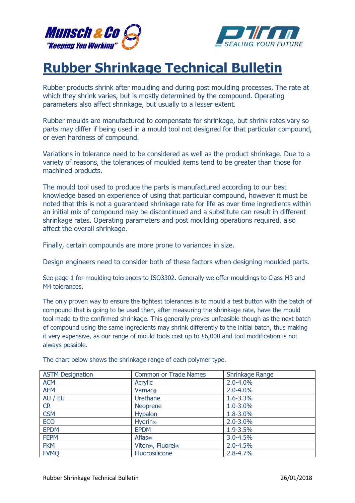



## Rubber Shrinkage Technical Bulletin

Rubber products shrink after moulding and during post moulding processes. The rate at which they shrink varies, but is mostly determined by the compound. Operating parameters also affect shrinkage, but usually to a lesser extent.

Rubber moulds are manufactured to compensate for shrinkage, but shrink rates vary so parts may differ if being used in a mould tool not designed for that particular compound, or even hardness of compound.

Variations in tolerance need to be considered as well as the product shrinkage. Due to a variety of reasons, the tolerances of moulded items tend to be greater than those for machined products.

The mould tool used to produce the parts is manufactured according to our best knowledge based on experience of using that particular compound, however it must be noted that this is not a guaranteed shrinkage rate for life as over time ingredients within an initial mix of compound may be discontinued and a substitute can result in different shrinkage rates. Operating parameters and post moulding operations required, also affect the overall shrinkage.

Finally, certain compounds are more prone to variances in size.

Design engineers need to consider both of these factors when designing moulded parts.

See page 1 for moulding tolerances to ISO3302. Generally we offer mouldings to Class M3 and M4 tolerances.

The only proven way to ensure the tightest tolerances is to mould a test button with the batch of compound that is going to be used then, after measuring the shrinkage rate, have the mould tool made to the confirmed shrinkage. This generally proves unfeasible though as the next batch of compound using the same ingredients may shrink differently to the initial batch, thus making it very expensive, as our range of mould tools cost up to £6,000 and tool modification is not always possible.

| <b>ASTM Designation</b> | <b>Common or Trade Names</b>              | Shrinkage Range |
|-------------------------|-------------------------------------------|-----------------|
| <b>ACM</b>              | Acrylic                                   | $2.0 - 4.0%$    |
| <b>AEM</b>              | Vamac®                                    | $2.0 - 4.0%$    |
| AU / EU                 | <b>Urethane</b>                           | 1.6-3.3%        |
| <b>CR</b>               | <b>Neoprene</b>                           | 1.0-3.0%        |
| <b>CSM</b>              | Hypalon                                   | 1.8-3.0%        |
| <b>ECO</b>              | <b>Hydrin®</b>                            | $2.0 - 3.0%$    |
| <b>EPDM</b>             | <b>EPDM</b>                               | 1.9-3.5%        |
| <b>FEPM</b>             | Aflas®                                    | 3.0-4.5%        |
| <b>FKM</b>              | Viton <sup>®</sup> , Fluorel <sup>®</sup> | $2.0 - 4.5%$    |
| <b>FVMQ</b>             | Fluorosilicone                            | $2.8 - 4.7%$    |

The chart below shows the shrinkage range of each polymer type.